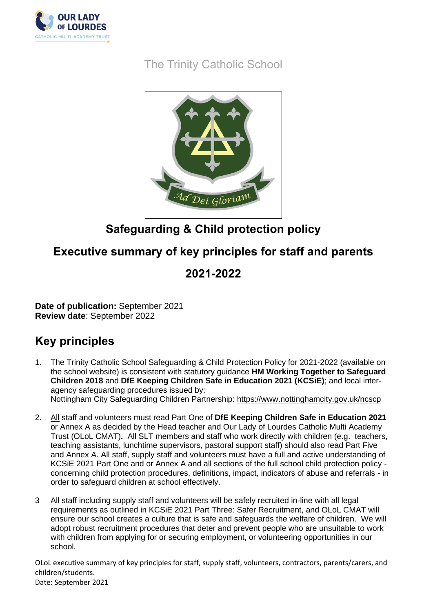

The Trinity Catholic School



## **Safeguarding & Child protection policy**

## **Executive summary of key principles for staff and parents**

## **2021-2022**

**Date of publication:** September 2021 **Review date**: September 2022

## **Key principles**

- 1. The Trinity Catholic School Safeguarding & Child Protection Policy for 2021-2022 (available on the school website) is consistent with statutory guidance **HM Working Together to Safeguard Children 2018** and **DfE Keeping Children Safe in Education 2021 (KCSiE)**; and local interagency safeguarding procedures issued by: Nottingham City Safeguarding Children Partnership:<https://www.nottinghamcity.gov.uk/ncscp>
- 2. All staff and volunteers must read Part One of **DfE Keeping Children Safe in Education 2021**  or Annex A as decided by the Head teacher and Our Lady of Lourdes Catholic Multi Academy Trust (OLoL CMAT)**.** All SLT members and staff who work directly with children (e.g. teachers, teaching assistants, lunchtime supervisors, pastoral support staff) should also read Part Five and Annex A. All staff, supply staff and volunteers must have a full and active understanding of KCSiE 2021 Part One and or Annex A and all sections of the full school child protection policy concerning child protection procedures, definitions, impact, indicators of abuse and referrals - in order to safeguard children at school effectively.
- 3 All staff including supply staff and volunteers will be safely recruited in-line with all legal requirements as outlined in KCSiE 2021 Part Three: Safer Recruitment, and OLoL CMAT will ensure our school creates a culture that is safe and safeguards the welfare of children. We will adopt robust recruitment procedures that deter and prevent people who are unsuitable to work with children from applying for or securing employment, or volunteering opportunities in our school.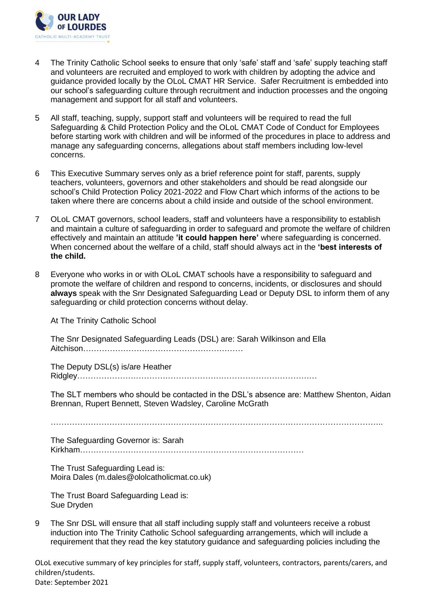

- 4 The Trinity Catholic School seeks to ensure that only 'safe' staff and 'safe' supply teaching staff and volunteers are recruited and employed to work with children by adopting the advice and guidance provided locally by the OLoL CMAT HR Service. Safer Recruitment is embedded into our school's safeguarding culture through recruitment and induction processes and the ongoing management and support for all staff and volunteers.
- 5 All staff, teaching, supply, support staff and volunteers will be required to read the full Safeguarding & Child Protection Policy and the OLoL CMAT Code of Conduct for Employees before starting work with children and will be informed of the procedures in place to address and manage any safeguarding concerns, allegations about staff members including low-level concerns.
- 6 This Executive Summary serves only as a brief reference point for staff, parents, supply teachers, volunteers, governors and other stakeholders and should be read alongside our school's Child Protection Policy 2021-2022 and Flow Chart which informs of the actions to be taken where there are concerns about a child inside and outside of the school environment.
- 7 OLoL CMAT governors, school leaders, staff and volunteers have a responsibility to establish and maintain a culture of safeguarding in order to safeguard and promote the welfare of children effectively and maintain an attitude **'it could happen here'** where safeguarding is concerned. When concerned about the welfare of a child, staff should always act in the **'best interests of the child.**
- 8 Everyone who works in or with OLoL CMAT schools have a responsibility to safeguard and promote the welfare of children and respond to concerns, incidents, or disclosures and should **always** speak with the Snr Designated Safeguarding Lead or Deputy DSL to inform them of any safeguarding or child protection concerns without delay.

At The Trinity Catholic School

The Snr Designated Safeguarding Leads (DSL) are: Sarah Wilkinson and Ella Aitchison……………………………………………………

The Deputy DSL(s) is/are Heather Ridgley………………………………………………………………………………

The SLT members who should be contacted in the DSL's absence are: Matthew Shenton, Aidan Brennan, Rupert Bennett, Steven Wadsley, Caroline McGrath

 $\mathcal{L}_{\mathcal{M}}$  , and the contract of the contract of the contract of the contract of the contract of the contract of the contract of the contract of the contract of the contract of the contract of the contract of the cont

The Safeguarding Governor is: Sarah Kirkham…………………………………………………………………………

The Trust Safeguarding Lead is: Moira Dales (m.dales@ololcatholicmat.co.uk)

The Trust Board Safeguarding Lead is: Sue Dryden

9 The Snr DSL will ensure that all staff including supply staff and volunteers receive a robust induction into The Trinity Catholic School safeguarding arrangements, which will include a requirement that they read the key statutory guidance and safeguarding policies including the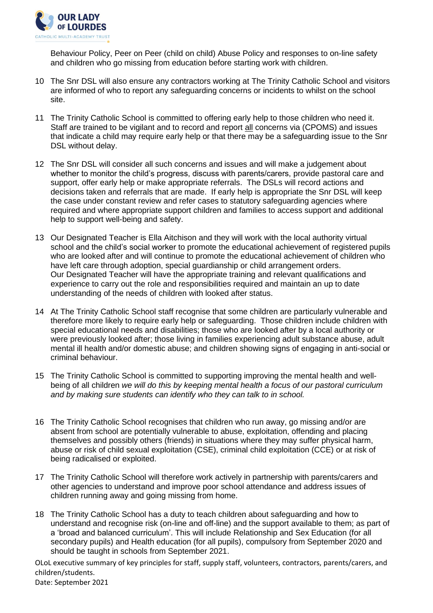

Behaviour Policy, Peer on Peer (child on child) Abuse Policy and responses to on-line safety and children who go missing from education before starting work with children.

- 10 The Snr DSL will also ensure any contractors working at The Trinity Catholic School and visitors are informed of who to report any safeguarding concerns or incidents to whilst on the school site.
- 11 The Trinity Catholic School is committed to offering early help to those children who need it. Staff are trained to be vigilant and to record and report all concerns via (CPOMS) and issues that indicate a child may require early help or that there may be a safeguarding issue to the Snr DSL without delay.
- 12 The Snr DSL will consider all such concerns and issues and will make a judgement about whether to monitor the child's progress, discuss with parents/carers, provide pastoral care and support, offer early help or make appropriate referrals. The DSLs will record actions and decisions taken and referrals that are made. If early help is appropriate the Snr DSL will keep the case under constant review and refer cases to statutory safeguarding agencies where required and where appropriate support children and families to access support and additional help to support well-being and safety.
- 13 Our Designated Teacher is Ella Aitchison and they will work with the local authority virtual school and the child's social worker to promote the educational achievement of registered pupils who are looked after and will continue to promote the educational achievement of children who have left care through adoption, special guardianship or child arrangement orders. Our Designated Teacher will have the appropriate training and relevant qualifications and experience to carry out the role and responsibilities required and maintain an up to date understanding of the needs of children with looked after status.
- 14 At The Trinity Catholic School staff recognise that some children are particularly vulnerable and therefore more likely to require early help or safeguarding. Those children include children with special educational needs and disabilities; those who are looked after by a local authority or were previously looked after; those living in families experiencing adult substance abuse, adult mental ill health and/or domestic abuse; and children showing signs of engaging in anti-social or criminal behaviour.
- 15 The Trinity Catholic School is committed to supporting improving the mental health and wellbeing of all children *we will do this by keeping mental health a focus of our pastoral curriculum and by making sure students can identify who they can talk to in school.*
- 16 The Trinity Catholic School recognises that children who run away, go missing and/or are absent from school are potentially vulnerable to abuse, exploitation, offending and placing themselves and possibly others (friends) in situations where they may suffer physical harm, abuse or risk of child sexual exploitation (CSE), criminal child exploitation (CCE) or at risk of being radicalised or exploited.
- 17 The Trinity Catholic School will therefore work actively in partnership with parents/carers and other agencies to understand and improve poor school attendance and address issues of children running away and going missing from home.
- 18 The Trinity Catholic School has a duty to teach children about safeguarding and how to understand and recognise risk (on-line and off-line) and the support available to them; as part of a 'broad and balanced curriculum'. This will include Relationship and Sex Education (for all secondary pupils) and Health education (for all pupils), compulsory from September 2020 and should be taught in schools from September 2021.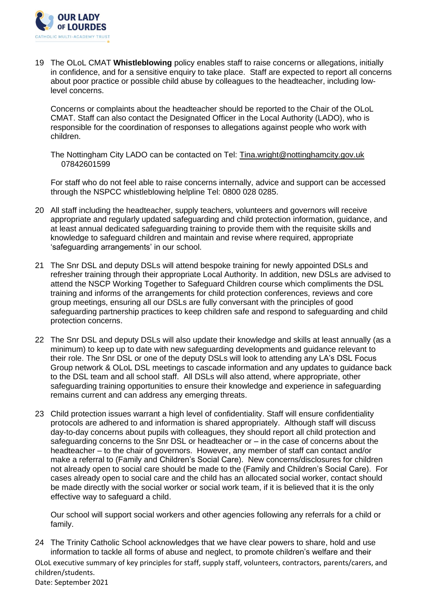

19 The OLoL CMAT **Whistleblowing** policy enables staff to raise concerns or allegations, initially in confidence, and for a sensitive enquiry to take place. Staff are expected to report all concerns about poor practice or possible child abuse by colleagues to the headteacher, including lowlevel concerns.

Concerns or complaints about the headteacher should be reported to the Chair of the OLoL CMAT. Staff can also contact the Designated Officer in the Local Authority (LADO), who is responsible for the coordination of responses to allegations against people who work with children.

The Nottingham City LADO can be contacted on Tel: [Tina.wright@nottinghamcity.gov.uk](mailto:Tina.wright@nottinghamcity.gov.uk)  07842601599

 For staff who do not feel able to raise concerns internally, advice and support can be accessed through the NSPCC whistleblowing helpline Tel: 0800 028 0285.

- 20 All staff including the headteacher, supply teachers, volunteers and governors will receive appropriate and regularly updated safeguarding and child protection information, guidance, and at least annual dedicated safeguarding training to provide them with the requisite skills and knowledge to safeguard children and maintain and revise where required, appropriate 'safeguarding arrangements' in our school.
- 21 The Snr DSL and deputy DSLs will attend bespoke training for newly appointed DSLs and refresher training through their appropriate Local Authority. In addition, new DSLs are advised to attend the NSCP Working Together to Safeguard Children course which compliments the DSL training and informs of the arrangements for child protection conferences, reviews and core group meetings, ensuring all our DSLs are fully conversant with the principles of good safeguarding partnership practices to keep children safe and respond to safeguarding and child protection concerns.
- 22 The Snr DSL and deputy DSLs will also update their knowledge and skills at least annually (as a minimum) to keep up to date with new safeguarding developments and guidance relevant to their role. The Snr DSL or one of the deputy DSLs will look to attending any LA's DSL Focus Group network & OLoL DSL meetings to cascade information and any updates to guidance back to the DSL team and all school staff. All DSLs will also attend, where appropriate, other safeguarding training opportunities to ensure their knowledge and experience in safeguarding remains current and can address any emerging threats.
- 23 Child protection issues warrant a high level of confidentiality. Staff will ensure confidentiality protocols are adhered to and information is shared appropriately. Although staff will discuss day-to-day concerns about pupils with colleagues, they should report all child protection and safeguarding concerns to the Snr DSL or headteacher or – in the case of concerns about the headteacher – to the chair of governors. However, any member of staff can contact and/or make a referral to (Family and Children's Social Care). New concerns/disclosures for children not already open to social care should be made to the (Family and Children's Social Care). For cases already open to social care and the child has an allocated social worker, contact should be made directly with the social worker or social work team, if it is believed that it is the only effective way to safeguard a child.

Our school will support social workers and other agencies following any referrals for a child or family.

OLoL executive summary of key principles for staff, supply staff, volunteers, contractors, parents/carers, and children/students. Date: September 2021 24 The Trinity Catholic School acknowledges that we have clear powers to share, hold and use information to tackle all forms of abuse and neglect, to promote children's welfare and their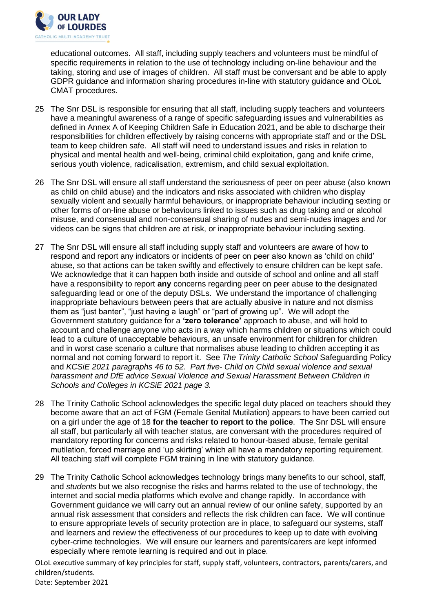

educational outcomes. All staff, including supply teachers and volunteers must be mindful of specific requirements in relation to the use of technology including on-line behaviour and the taking, storing and use of images of children. All staff must be conversant and be able to apply GDPR guidance and information sharing procedures in-line with statutory guidance and OLoL CMAT procedures.

- 25 The Snr DSL is responsible for ensuring that all staff, including supply teachers and volunteers have a meaningful awareness of a range of specific safeguarding issues and vulnerabilities as defined in Annex A of Keeping Children Safe in Education 2021, and be able to discharge their responsibilities for children effectively by raising concerns with appropriate staff and or the DSL team to keep children safe. All staff will need to understand issues and risks in relation to physical and mental health and well-being, criminal child exploitation, gang and knife crime, serious youth violence, radicalisation, extremism, and child sexual exploitation.
- 26 The Snr DSL will ensure all staff understand the seriousness of peer on peer abuse (also known as child on child abuse) and the indicators and risks associated with children who display sexually violent and sexually harmful behaviours, or inappropriate behaviour including sexting or other forms of on-line abuse or behaviours linked to issues such as drug taking and or alcohol misuse, and consensual and non-consensual sharing of nudes and semi-nudes images and /or videos can be signs that children are at risk, or inappropriate behaviour including sexting.
- 27 The Snr DSL will ensure all staff including supply staff and volunteers are aware of how to respond and report any indicators or incidents of peer on peer also known as 'child on child' abuse, so that actions can be taken swiftly and effectively to ensure children can be kept safe. We acknowledge that it can happen both inside and outside of school and online and all staff have a responsibility to report **any** concerns regarding peer on peer abuse to the designated safeguarding lead or one of the deputy DSLs. We understand the importance of challenging inappropriate behaviours between peers that are actually abusive in nature and not dismiss them as "just banter", "just having a laugh" or "part of growing up". We will adopt the Government statutory guidance for a **'zero tolerance'** approach to abuse, and will hold to account and challenge anyone who acts in a way which harms children or situations which could lead to a culture of unacceptable behaviours, an unsafe environment for children for children and in worst case scenario a culture that normalises abuse leading to children accepting it as normal and not coming forward to report it. See *The Trinity Catholic School* Safeguarding Policy and *KCSiE 2021 paragraphs 46 to 52. Part five- Child on Child sexual violence and sexual harassment and DfE advice Sexual Violence and Sexual Harassment Between Children in Schools and Colleges in KCSiE 2021 page 3.*
- 28 The Trinity Catholic School acknowledges the specific legal duty placed on teachers should they become aware that an act of FGM (Female Genital Mutilation) appears to have been carried out on a girl under the age of 18 **for the teacher to report to the police**. The Snr DSL will ensure all staff, but particularly all with teacher status, are conversant with the procedures required of mandatory reporting for concerns and risks related to honour-based abuse, female genital mutilation, forced marriage and 'up skirting' which all have a mandatory reporting requirement. All teaching staff will complete FGM training in line with statutory guidance.
- 29 The Trinity Catholic School acknowledges technology brings many benefits to our school, staff, and *students* but we also recognise the risks and harms related to the use of technology, the internet and social media platforms which evolve and change rapidly. In accordance with Government guidance we will carry out an annual review of our online safety, supported by an annual risk assessment that considers and reflects the risk children can face. We will continue to ensure appropriate levels of security protection are in place, to safeguard our systems, staff and learners and review the effectiveness of our procedures to keep up to date with evolving cyber-crime technologies. We will ensure our learners and parents/carers are kept informed especially where remote learning is required and out in place.